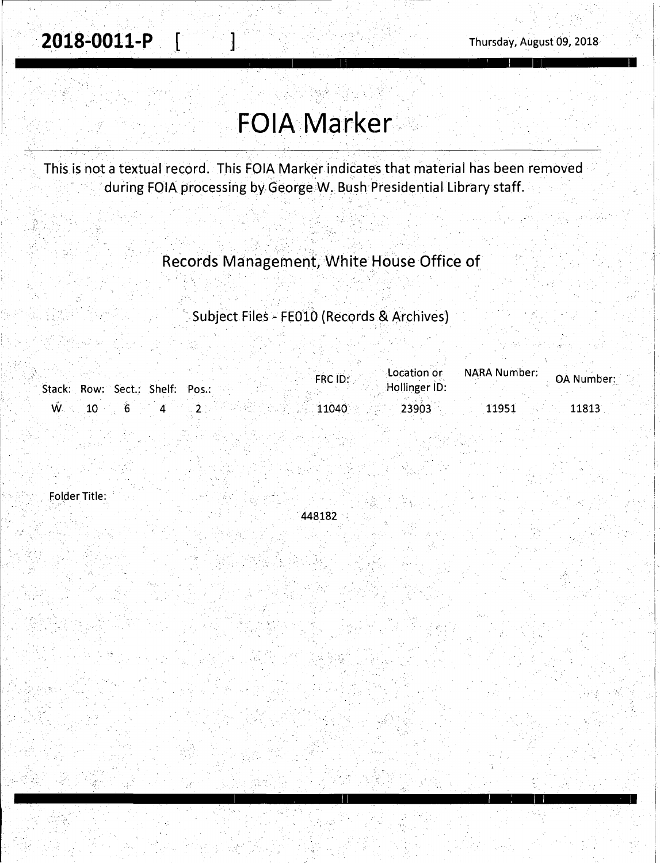I

. i  $\vert$  .

> i i.

I

I I' I I I I

# **FOIA Marker.·**

This is not a textual record. This FOIA Marker indicates that material has been removed during FOIA processing by George W. Bush Presidential Library staff.

> . . ' . ' . . . Records Management, White House Office of,

' Subject Files - FEOlO (Records & Archives)

| Stack: Row: Sect.: Shelf: Pos.: |  | FRC ID: | Location or<br>Hollinger ID: | NARA Number: | <b>OA Number:</b> |
|---------------------------------|--|---------|------------------------------|--------------|-------------------|
| 10 <sup>1</sup><br>W. C         |  | 11040   | 23903                        | 11951        | 11813             |

folder Title:

448182

I 11 I : I I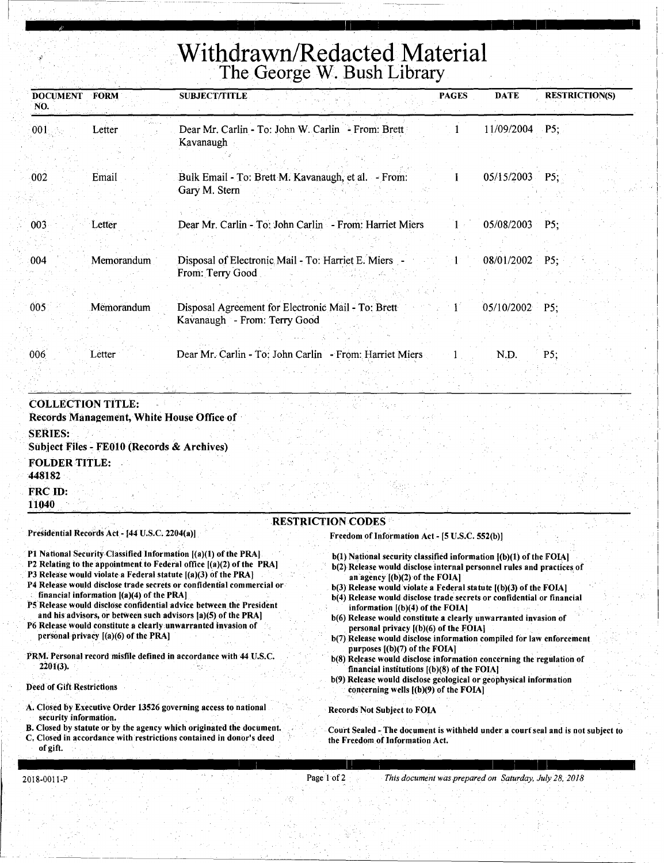# **Withdrawn/Redacted Material**  The George W. Bush Library

<u>ات یک این است ساست به این سازی ایلاس است است است از این این سال سال است است است از این است از این این این این</u>

| <b>DOCUMENT</b><br>NO. | FORM       | <b>SUBJECT/TITLE</b>                                                               | <b>PAGES</b> | <b>DATE</b>    | <b>RESTRICTION(S)</b> |
|------------------------|------------|------------------------------------------------------------------------------------|--------------|----------------|-----------------------|
| 001                    | Letter     | Dear Mr. Carlin - To: John W. Carlin - From: Brett<br>Kavanaugh                    |              | 11/09/2004     | $\cdot$ P5;           |
| $-002$                 | Email      | Bulk Email - To: Brett M. Kavanaugh, et al. - From:<br>Gary M. Stern               |              | 05/15/2003     | P5:                   |
| 003                    | Letter     | Dear Mr. Carlin - To: John Carlin - From: Harriet Miers                            |              | 05/08/2003     | P5:                   |
| 004                    | Memorandum | Disposal of Electronic Mail - To: Harriet E. Miers -<br>From: Terry Good           |              | 08/01/2002     | $P5$ ;                |
| 005                    | Memorandum | Disposal Agreement for Electronic Mail - To: Brett<br>Kavanaugh - From: Terry Good |              | 05/10/2002 P5: |                       |
| 006                    | Letter     | Dear Mr. Carlin - To: John Carlin - From: Harriet Miers                            |              | N.D.           | P5;                   |

COLLECTION TITLE:

Records Management, White House Office of SERIES: Subject Files~ FEOlO (Records & Archives) FOLDER TITLE: 448182 FRC ID:

#### RESTRICTION CODES

Presidential Records Act - [44 U.S.C. 2204(a)]

- Pl National Security Classified Information [(a)(l) of the PRA]
- P2 Relating to the appointment to Federal office [(a)(2) of the PRA]
- P3 Release would violate a Federal statute [(a)(3) of the PRA)
- P4 Release would disclose trade secrets or confidential commercial or financial information [(a)(4) of the PRA)
- P5 Release would disclose confidential advice between the President and his advisors, or between such advisors [a)(5) of the PRA)

P6 Release would constitute a clearly unwarranted invasion of personal privacy [(a)(6) of the PRA]

PRM. Personal record misfile defined in accordance with 44 U.S.C. 2201(3).

Deed of Gift Restrictions

- A. Closed by Executive Order 13526 governing access to national security information.
- B. Closed by statute or by the agency which originated the document.
- Closed in accordance with restrictions contained in donor's deed of gift.
- Freedom of Information Act [5 U.S.C. 552(b)]
	- $b(1)$  National security classified information  $[(b)(1)$  of the FOIA] b(2) Release would disclose internal personnel rules and practices of
	- an agency [(b)(2) of the FOIA)
	- b(3) Release would violate a Federal statute [(b)(3) of the FOIA] b(4) Release would disclose trade secrets or confidential or financial information  $[(b)(4)$  of the FOIA]
	- b(6) Release would constitute a clearly unwarranted invasion of personal privacy [(b)(6) of the FOIA]
	- b(7) Release would disclose information compiled for law enforcement purposes [(b)(7) of the FOIA]
	- b(8) Release would disclose information concerning the regulation of financial institutions  $[(b)(8)$  of the FOIA]
	- b(9) Release would disclose geological or geophysical information concerning wells [(b)(9) of the FOIA]

I I 11 I I 1 I I

Records Not Subject to FOIA

Court Sealed - The document is withheld under a court seal and is not subject to the Freedom of Information Act.

11040

---------------~---------'----------------------------'-----------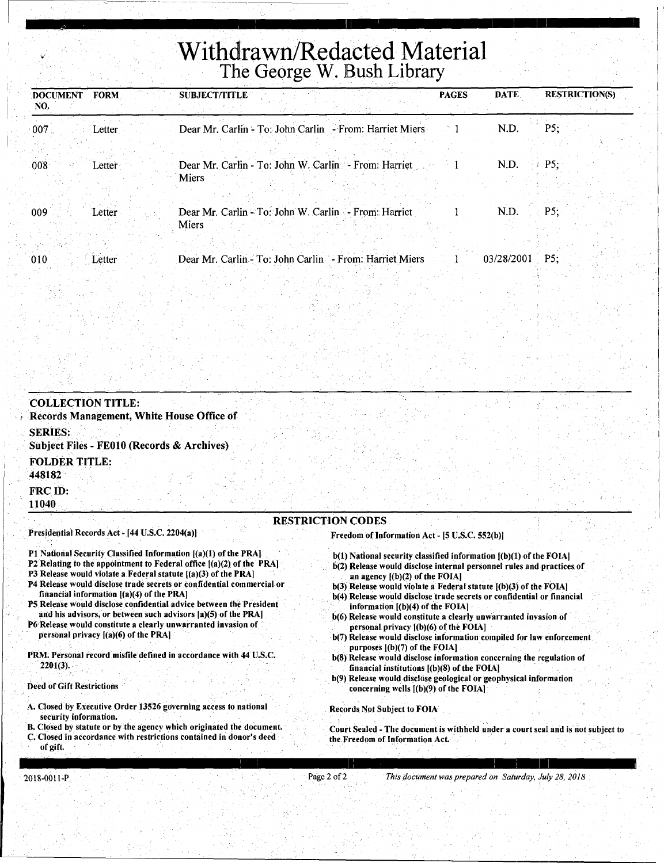# **Withdrawn/Redacted Material**  The George W. Bush Library

" I I 11 I I I

| <b>FORM</b><br><b>DOCUMENT</b><br>NO. | <b>PAGES</b><br><b>SUBJECT/TITLE</b>                                 | <b>DATE</b> | <b>RESTRICTION(S)</b> |
|---------------------------------------|----------------------------------------------------------------------|-------------|-----------------------|
| 007<br>Letter                         | Dear Mr. Carlin - To: John Carlin - From: Harriet Miers              | N.D.        | P5:                   |
| 008<br>Letter                         | Dear Mr. Carlin - To: John W. Carlin - From: Harriet<br>Miers        | N.D.        | P5:                   |
| 009<br>Letter                         | Dear Mr. Carlin - To: John W. Carlin - From: Harriet<br><b>Miers</b> | N.D.        | P5:                   |
| 010<br>Letter                         | Dear Mr. Carlin - To: John Carlin - From: Harriet Miers              | 03/28/2001  | $\cdot$ P5:           |

#### COLLECTION TITLE: Records Management, White House Office of SERIES: Subject Files - FE010 (Records & Archives) FOLDER TITLE: 448182 FRC ID: 11040 RESTRICTION CODES Presidential Records Act - (44 U.S.C. 2204(a)] Pl National Security Classified Information [(a)(l) of the PRA) P2 Relating to the appointment to Federal office [(a)(2) of the PRA] P3 Release would violate a Federal statute [(a)(3) of the PRA] P4 Release would disdose trade secrets or confidential commercial or financial information  $[(a)(4)$  of the PRA] PS Release would disclose.confidential advice between the President and his advisors, or between such advisors  $[a](5)$  of the PRA] P6 Release would constitute a clearly unwarranted invasion of personal privacy [(a)(6) of the PRA) PRM. Personal record misfile defined in accordance with 44 U.S.C. Freedom of Information Act - [5 U.S.C. 552(b)]  $b(1)$  National security classified information  $[(b)(1)$  of the FOIA] b(2) Release would disclose internal personnel rules and practices of an agency  $[(b)(2)$  of the FOIA]  $b(3)$  Release would violate a Federal statute  $[(b)(3)$  of the FOIA] b(4) Release would disclose trade secrets or confidential or financial information  $[(b)(4)$  of the FOIA]  $b(6)$  Release would constitute a clearly unwarranted invasion of personal privacy [(b)(6) of the FOIA] b(7) Release would disclose information compiled for law enforcement purposes ((b)(7) of the FOIA) b(8) Release would disclose information concerning the regulation of

Deed of Gift Restrictions

2201(3).

- A. Closed by Executive Order 13526 governing access to national security information.
- B. Closed by statute or by the agency which originated the document.
- C. Closed in accordance with restrictions contained in donor's deed of gift.

Court Sealed - The document is withheld under a court seal and is not subject to

financial institutions  $[(b)(8)$  of the FOIA]

. concerning wells [(b)(9) of the FOIA)

Records Not Subject to FOIA

the Freedom of Information Act.

b(9) Release would.disclose geological or geophysical information

2018-0011-P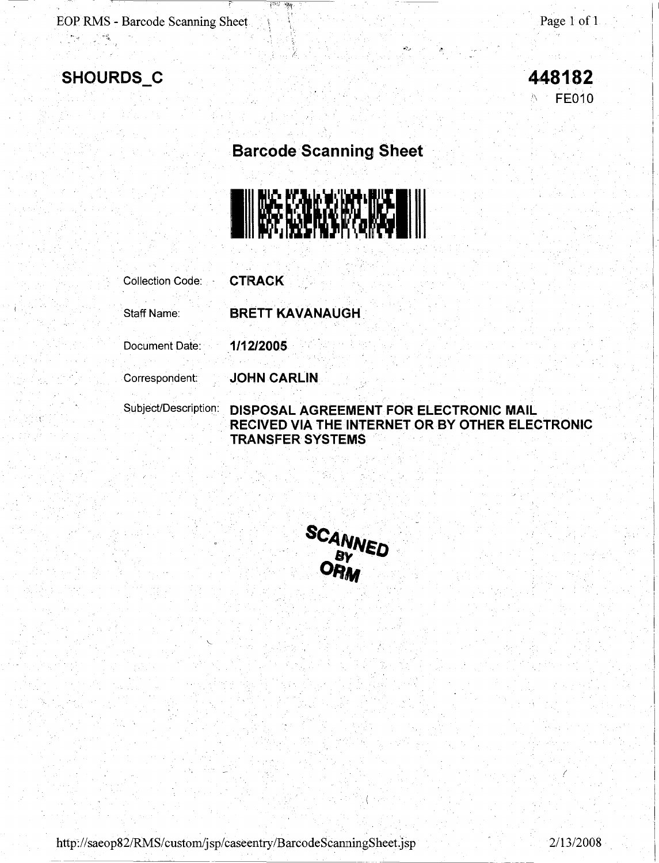$\mathbf{1}$ 

**FE010** 

### **Barcode Scanning Sheet**

/.

 $\frac{1}{2}$ 



Collection Code: **CTRACK**  Staff Name: **BRETT KAVANAUGH.**  Document Date: **1/12/2005**  Correspondent: **JOHN CARLIN**  Subject/Description: **DISPOSAL AGREEMENT FOR ELECTRONIC MAIL RECIVED VIA THE INTERNET OR BY OTHER ELECTRONIC** 

**TRANSFER SYSTEMS** 



http://saeop82/RMS/custom/jsp/caseentry/BarcodeScanningSheet.jsp 2/13/2008

 $\overline{\mathcal{L}}$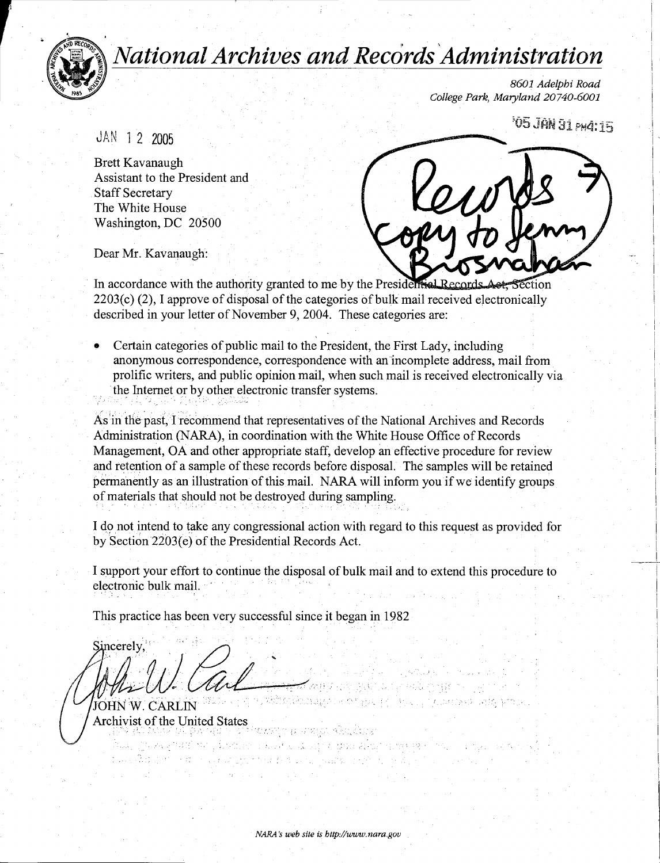

*National Archives and Records 'Administration* 

860J Adelphi Road College Park, Maryland 20740-6001

**105 JAN 31 PM4:15** 

JAN 1 2 2005

Brett Kavanaugh Assistant to the President and Staff Secretary The White House Washington, DC 20500

Dear Mr. Kavanaugh:

In accordance with the authority granted to me by the Presidential Records Act, Section 2203(c) (2), I approve of disposal of the categories of bulk mail received electronically described in your letter of November 9, 2004. These categories are:

• Certain categories of public mail to the President, the First Lady, including anonymous correspondence, correspondence with an incomplete address, mail from prolific writers, and public opinion mail, when such mail is received electronically via the Internet or by other electronic transfer systems.

As in the past, I recommend that representatives of the National Archives and Records Administration (NARA), in coordination with the White House Office of Records Management, OA and other appropriate staff, develop an effective procedure for review and retention of a sample of these records before disposal. The samples will be retained permanently as an illustration of this mail. NARA will inform you if we identify groups of materials that should not be destroyed during sampling.

I do not intend to take any congressional action with regard to this request as provided for by Section 2203(e) of the Presidential Records Act.

I support your effort to continue the disposal of bulk mail and to extend this procedure to electronic bulk mail.

 $\langle\pm\rangle$ 

ารถ (เมืองไม่อย่าง ต้องหามอนักอยู่กล่างส่วน สม่อมารถเซล หลาย (1910) - จายออ cap of Star through the composition of the term of the product

the estation minister og med BEFORD COMMON SERVICE

This practice has been very successful since it began in 1982

Sincerely,

JOHN W. CARLIN Archivist of the United States ~ . . , '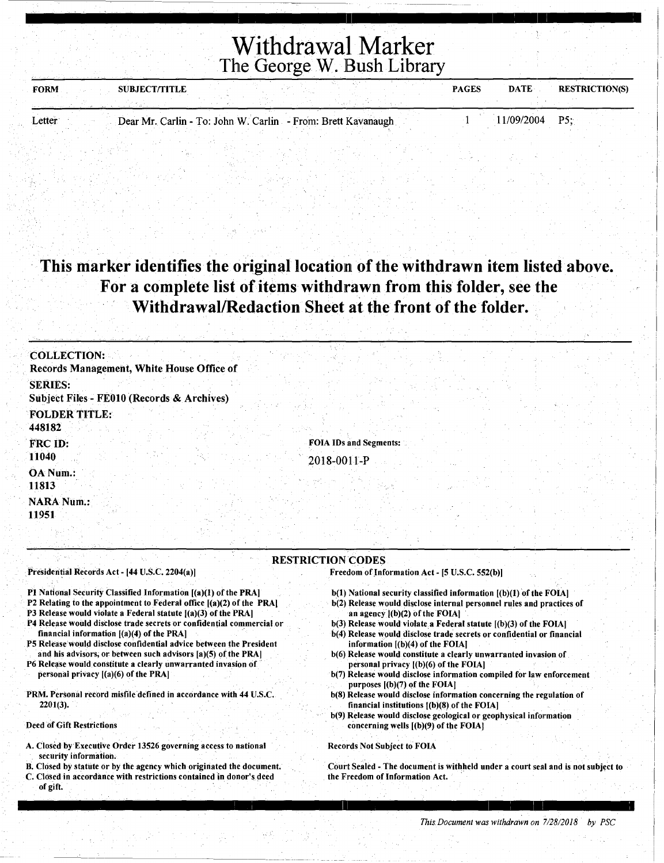| <b>FORM</b> | <b>SUBJECT/TITLE</b> |                                                              | <b>PAGES</b> | <b>DATE</b><br><b>RESTRICTION(S)</b> |
|-------------|----------------------|--------------------------------------------------------------|--------------|--------------------------------------|
|             |                      |                                                              |              |                                      |
| Letter      |                      | Dear Mr. Carlin - To: John W. Carlin - From: Brett Kavanaugh |              | 11/09/2004 P5:                       |

### **This marker identifies the original location of the withdrawn item listed above. For a complete list of items withdrawn from this folder,** see **the Withdrawal/Redaction Sheet at the front of the folder.**

| Records Management, White House Office of<br><b>SERIES:</b>     |                                                                            |
|-----------------------------------------------------------------|----------------------------------------------------------------------------|
| Subject Files - FE010 (Records & Archives)                      |                                                                            |
| <b>FOLDER TITLE:</b><br>448182                                  |                                                                            |
| FRC ID:<br>11040                                                | <b>FOIA IDs and Segments:</b><br>2018-0011-P                               |
| OA Num.:<br>11813                                               |                                                                            |
| <b>NARA Num.:</b><br>11951                                      |                                                                            |
| Presidential Records Act - [44 U.S.C. 2204(a)]                  | <b>RESTRICTION CODES</b><br>Freedom of Information Act - [5 U.S.C. 552(b)] |
| P1 National Security Classified Information [(a)(1) of the PRA] | b(1) National security classified information [(b)(1) of the FOIA]         |

- P2 Relating to the appointment to Federal office [(a)(2) of the PRA)
- P3 Release would violate a Federal statute [(a)(3) of the PRA]
- P4 Release would disClose trade secrets or confidential commercial or financial information [(a)(4) of the PRA)
- PS Release would disclose confidential advice between the President and his advisors; or between such advisors [a)(5) of the PRA]
- P6 Release would constitute a clearly unwarranted invasion of personal privacy  $[(a)(6)$  of the PRA]
- PRM. Personal record misfile defined in accordance with 44 U.S.C. 2201(3).

Deed of Gift Restrictions

- A. Closed by Executive Order 13526 governing access to national security information.
- B. Closed by statute or by the agency which originated the document.
- C. Closed in accordance with restrictions contained in donor's deed of gift.
- b(2) Release would disclose internal personnel rules and practices of an agency [(b)(2) of the FOIA]
- b(3) Release would violate a Federal statute [(b)(3) of the FOIA]
- b(4) Release would disclose trade secrets or confidential or financial information  $[(b)(4)$  of the FOIA]
- b(6) Release would constitute a clearly unwarranted invasion of personal privacy [(b)(6) of the FOIA]
- b(7) Release would disclose information compiled for law enforcement purposes [(b)(7) of the FOIA]
- b(8) Release would disclose information concerning the regulation of financial institutions [(b)(8) of the FOIA]
- b(9) Release would disclose geological or geophysical information concerning wells [(b)(9) of the FOIA]

#### Records Not Subject to FOIA

Court Sealed - The document is withheld under a court seal and is not subject to the Freedom of Information Act.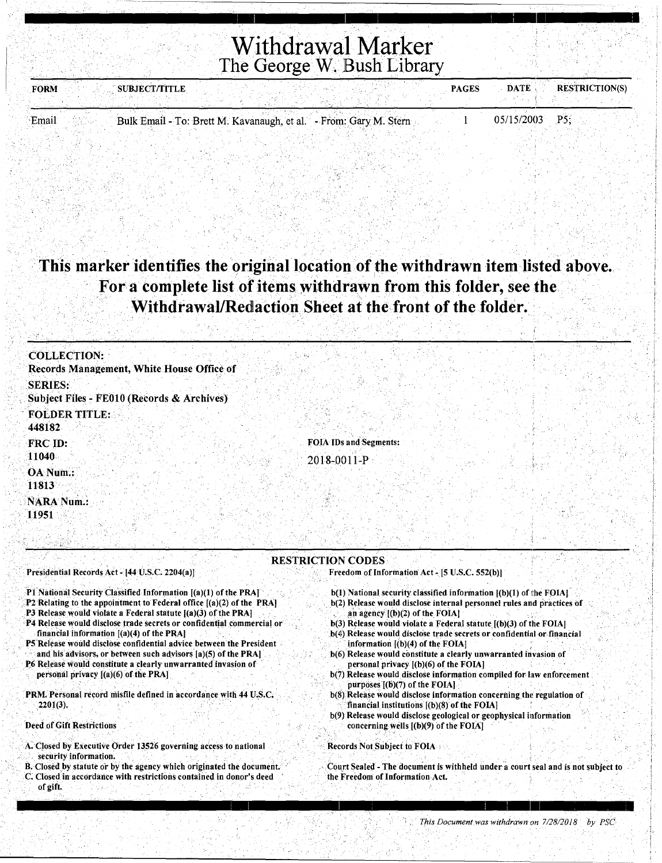| <b>FORM</b> | SUBJECT/TITLE                                                     | <b>PAGES</b> | <b>RESTRICTION(S)</b><br><b>DATE</b> |
|-------------|-------------------------------------------------------------------|--------------|--------------------------------------|
|             |                                                                   |              |                                      |
| Email       | Bulk Email - To: Brett M. Kavanaugh, et al. - From: Gary M. Stern |              | 05/15/2003<br>P5                     |
|             |                                                                   |              |                                      |

This marker identifies the original location of the withdrawn item listed above. For a complete list of items withdrawn from this folder, see the Withdrawal/Redaction Sheet at the front of the folder.

| <b>COLLECTION:</b><br>Records Management, White House Office of |                               |
|-----------------------------------------------------------------|-------------------------------|
| <b>SERIES:</b>                                                  |                               |
| Subject Files - FE010 (Records & Archives)                      |                               |
| <b>FOLDER TITLE:</b><br>448182                                  |                               |
| <b>FRC ID:</b>                                                  | <b>FOIA IDs and Segments:</b> |
| 11040                                                           | 2018-0011-P                   |
| OA Num.:<br>11813                                               |                               |
| <b>NARA Num.:</b>                                               |                               |
| 11951                                                           |                               |
|                                                                 |                               |

#### RESTRICTION CODES·

#### Presidential Records Act - [44 U.S.C. 2204(a)]

- P1 National Security Classified Information [(a)(1) of the PRA]
- P2 Relating to the appointment to Federal office [(a)(2) of the PRA]
- P3 Release would violate a Federal statute  $[(a)(3)$  of the PRA]
- P4 Release would disclose trade secrets or confidential commercial or financial information  $[(a)(4)$  of the PRA]
- P5 Release would disclose confidential advice between the President
- and his advisors, or between such advisors [a)(5) of the PRA]
- P6 Release would constitute a clearly unwarranted invasion of personal privacy  $[(a)(6)$  of the PRA]
- PRM. Personal record misfile defined in accordance with 44 U.S.C. ' 2201(3).

Deed of Gift Restrictions

- A>Ciosed by Executive Order 13526 governing access to national security information.
- B. Closed by statute or by the agency which originated the document. C. Closed in accordance with restrictions contained in donor's deed of gift.
- Freedom of Information Act -[5 U.S.C. 552(b)]
	- $b(1)$  National security classified information  $[(b)(1)$  of the FOIA]
	- . b(2) Release would disclose internal personnel rules and practices of an agency  $[(b)(2)$  of the FOIA]
	- b(3) Release would violate a Federal statute  $[(b)(3)$  of the FOIA]
	- b(4) Release would disclose trade secrets or confidential or financial information  $[(b)(4)$  of the FOIA]
	- b(6) Release would constitute a clearly unwarranted invasion of personal privacy  $[(b)(6)$  of the FOIA]
	- b(7) Release would disclose information compiled for law enforcement purposes  $[(b)(7)$  of the FOIA]
	- b(8) Release would disclose information concerning the regulation of financial institutions  $[(b)(8)$  of the FOIA]
	- b(9) Release would disclose geological or geophysical information concerning wells  $[(b)(9)$  of the FOIA] ', ,. \_,. ·,

#### Records Not Subject to FOIA •

Court Sealed - The document is withheld under a court seal and is not subject to the Freedom of Information Act.

 $\cdot$  +  $\mathfrak l$  .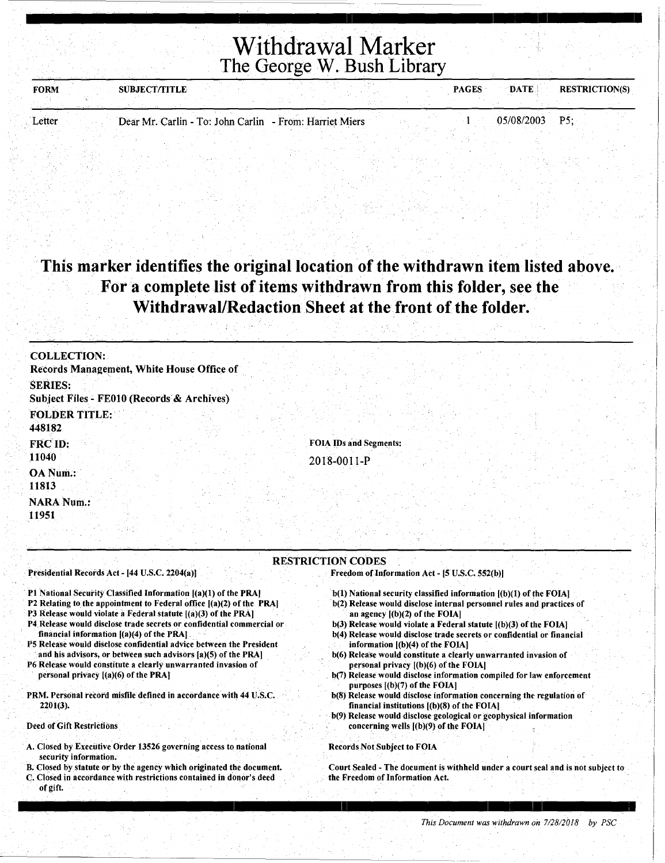| <b>FORM</b> | <b>SUBJECT/TITLE</b> |                                                         | <b>PAGES</b> | <b>DATE</b>       | <b>RESTRICTION(S)</b> |
|-------------|----------------------|---------------------------------------------------------|--------------|-------------------|-----------------------|
|             |                      |                                                         |              |                   |                       |
| Letter      |                      | Dear Mr. Carlin - To: John Carlin - From: Harriet Miers |              | <b>05/08/2003</b> | D٢                    |

#### This marker identifies the original location of the withdrawn item listed above. For a complete list of items withdrawn from this folder, see the Withdrawal/Redaction Sheet at the front of the folder.

| <b>COLLECTION:</b><br>Records Management, White House Office of |                                       |
|-----------------------------------------------------------------|---------------------------------------|
| <b>SERIES:</b><br>Subject Files - FE010 (Records & Archives)    |                                       |
| <b>FOLDER TITLE:</b><br>448182                                  |                                       |
| FRC ID:<br>11040                                                | FOIA IDs and Segments:<br>2018-0011-P |
| OA Num.:<br>11813                                               |                                       |
| <b>NARA Num.:</b><br>11951                                      |                                       |

#### RESTRICTION CODES

Presidential Records Act - [44 U.S.C. 2204(a))

Pl National Security Classified Information [(a)(l) of the PRA)

- P2 Relating to the appointment to Federal office  $[(a)(2)$  of the PRA]
- P3 Release would violate a Federal statute [(a)(3) of the PRA)
- P4.Release would disclose trade secrets or confidential commercial or financial information [(a)(4) of the PRA).
- P5 Release would disclose confidential advice between the President and his advisors, or between such advisors [a)(5) of the PRA]
- P6 Release would constitute a clearly unwarranted invasion of personal privacy [(a)(6) of the PRA)

PRM. Personal record misfile defined in accordance with 44 U.S.C. 2201(3).

Deed of Gift Restrictions

- A. Closed by Executive Order 13526 governing access to national security information.
- B. Closed by statute or by the agency which originated the document.
- C. Closed in accordance with restrictions contained in donor's deed of gift.
- Freedom of.Information Act [5 U.S.C. 552(b))
- b(l) National security classified information [(b)(l) of the FOIA)
- b(2) Release would disclose internal personnel rules and practices of an agency [(b)(2) of the FOIA)
- $b(3)$  Release would violate a Federal statute  $[(b)(3)$  of the FOIA]
- b(4) Release would disclose trade secrets or confidential or financial information [(b)(4) of the FOIA)
- b(6) Release would constitute a.ciearly unwarranted invasion of personal privacy [(b)(6) of the FOIA)
- b(7) Release would disclose information compiled for law enforcement purposes [(b)(7) of the FOIA)
- b(8) Release would disclose information concerning the regulation of financial institutions  $[(b)(8)$  of the FOIA]
- b(9) Release would disclose geological or geophysical information concerning wells [(b)(9) of the FOIA)

#### Records Not Subject to FOIA

Court Sealed - The document is withheld under a court seal and. is not subject to the Freedom of Information Act.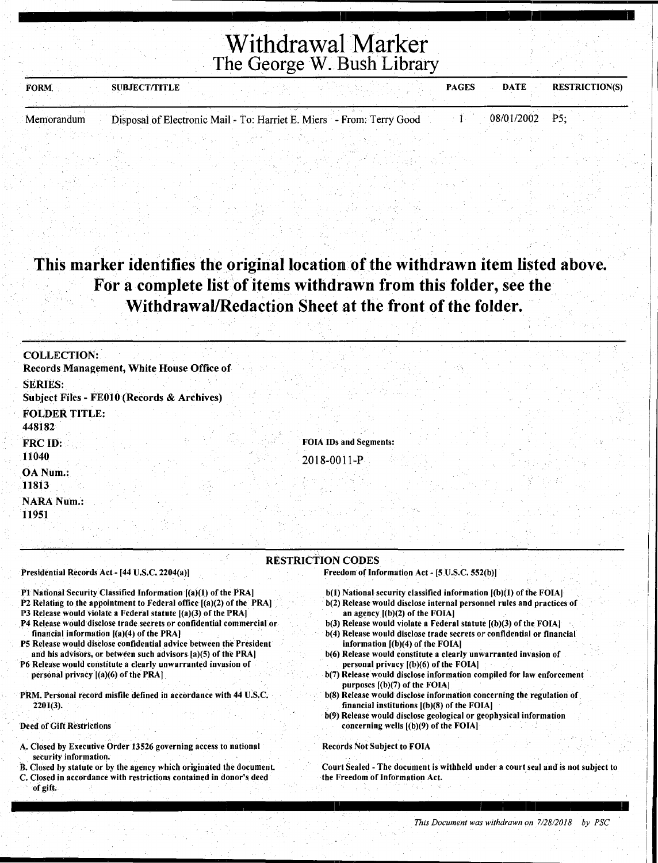| <b>SUBJECT/TITLE</b><br><b>FORM</b>                                                 | <b>PAGES</b> | <b>DATE</b>    | <b>RESTRICTION(S)</b> |
|-------------------------------------------------------------------------------------|--------------|----------------|-----------------------|
| Disposal of Electronic Mail - To: Harriet E. Miers - From: Terry Good<br>Memorandum |              | 08/01/2002 P5: |                       |
|                                                                                     |              |                |                       |

### This marker identifies the original location of the withdrawn item listed above. For a complete list of items withdrawn from this folder, see the Withdrawal/Redaction Sheet at the front of the folder.

| <b>COLLECTION:</b>                                                                                                                        |  |
|-------------------------------------------------------------------------------------------------------------------------------------------|--|
| Records Management, White House Office of                                                                                                 |  |
| <b>SERIES:</b><br>Subject Files - FE010 (Records & Archives)                                                                              |  |
| <b>FOLDER TITLE:</b><br>448182                                                                                                            |  |
| <b>FOIA IDs and Segments:</b><br>FRC ID:                                                                                                  |  |
| 11040<br>2018-0011-P                                                                                                                      |  |
| OA Num.:<br>11813                                                                                                                         |  |
| <b>NARA Num.:</b><br>11951                                                                                                                |  |
|                                                                                                                                           |  |
| <b>RESTRICTION CODES</b>                                                                                                                  |  |
| Presidential Records Act - [44 U.S.C. 2204(a)]<br>Freedom of Information Act - [5 U.S.C. 552(b)]                                          |  |
| P1 National Security Classified Information [(a)(1) of the PRA]<br>$b(1)$ National security classified information $[(b)(1)$ of the FOIA] |  |

- P2 Relating to the appointment to Federal office  $[(a)(2)$  of the PRA]
- **P3 Release would violate a Federal statute**  $[(a)(3)$  **of the PRA]**
- P4 Release would disclose trade secrets or confidential commercial or financial information [(a)(4) of the PRA]
- PS Release would disclose confidential advice between the President and his advisors, or between such advisors [a)(S) of tine PRA)
- P6 Release would constitute a clearly unwarranted invasion of personal privacy [(a)(6) of the PRA)
- PRM. Personal record misfile defined in accordance with 44 U.S.C. 2201(3).

Deed of Gift Restrictions

- A. Closed by Executive Order 13526 governing access to national security information.
- B. Closed by statute or by the agency which originated the document.
- C. Closed in accordance with restrictions contained in donor's deed of gift.
- b(2) Release would disclose internal personnel rules and practices of an agency [(b)(2) of the FOIA]
- b(3) Release would violate a Federal statute  $[(b)(3)$  of the FOIA]
- b(4) Release would disclose trade secrets or confidential or financial information [(b)(4) of the FOIA]
- b(6) Release would constitute a clearly unwarranted invasion of personal privacy [(b)(6) of the FOIA]
- b(7) Release would disclose information compiled for law enforcement purposes [(b)(7) of the FOIA]
- b(8) Release would disclose information concerning the regulation of financial institutions [(b)(8) of the FOIA]
- b(9) Release would disclose geological or geophysical information concerning wells [(b)(9) of the FOIA]

Records *Not* Subject to FOIA

Court Sealed - The document is withheld under a court seal and is not subject to the Freedom of Information Act.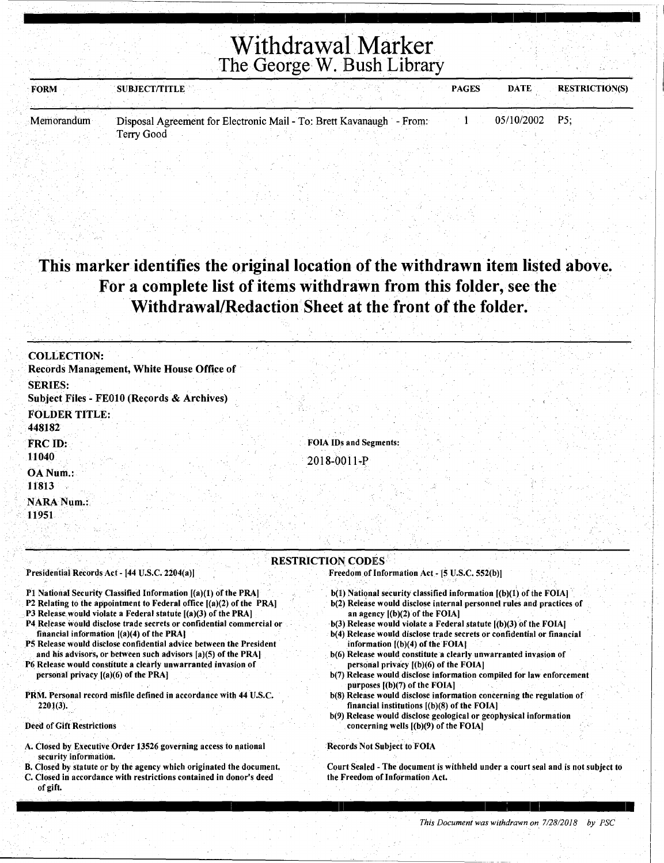| <b>FORM</b> | <b>SUBJECT/TITLE</b>                                                 |  | <b>DATE</b><br><b>PAGES</b> | <b>RESTRICTION(S)</b> |
|-------------|----------------------------------------------------------------------|--|-----------------------------|-----------------------|
|             |                                                                      |  |                             |                       |
| Memorandum  | Disposal Agreement for Electronic Mail - To: Brett Kavanaugh - From: |  | $05/10/2002$ P5:            |                       |
|             | Terry Good                                                           |  |                             |                       |

### **This marker identifies the original location of the withdrawn item listed above. For a complete list of items withdrawn from this folder,** see **the Withdrawal/Redaction Sheet at the front of the folder.**

| <b>COLLECTION:</b>                                                                                                                                                                                                                                                                                                                                                                                                                                                                                                                                                                     |                                                                                                                                                                                                                                                                                                                                                                                                                                                                                                                                                                                                |
|----------------------------------------------------------------------------------------------------------------------------------------------------------------------------------------------------------------------------------------------------------------------------------------------------------------------------------------------------------------------------------------------------------------------------------------------------------------------------------------------------------------------------------------------------------------------------------------|------------------------------------------------------------------------------------------------------------------------------------------------------------------------------------------------------------------------------------------------------------------------------------------------------------------------------------------------------------------------------------------------------------------------------------------------------------------------------------------------------------------------------------------------------------------------------------------------|
| Records Management, White House Office of                                                                                                                                                                                                                                                                                                                                                                                                                                                                                                                                              |                                                                                                                                                                                                                                                                                                                                                                                                                                                                                                                                                                                                |
| <b>SERIES:</b><br>Subject Files - FE010 (Records & Archives)                                                                                                                                                                                                                                                                                                                                                                                                                                                                                                                           |                                                                                                                                                                                                                                                                                                                                                                                                                                                                                                                                                                                                |
| <b>FOLDER TITLE:</b><br>448182                                                                                                                                                                                                                                                                                                                                                                                                                                                                                                                                                         |                                                                                                                                                                                                                                                                                                                                                                                                                                                                                                                                                                                                |
| FRC ID:                                                                                                                                                                                                                                                                                                                                                                                                                                                                                                                                                                                | <b>FOIA IDs and Segments:</b>                                                                                                                                                                                                                                                                                                                                                                                                                                                                                                                                                                  |
| 11040                                                                                                                                                                                                                                                                                                                                                                                                                                                                                                                                                                                  | 2018-0011-P                                                                                                                                                                                                                                                                                                                                                                                                                                                                                                                                                                                    |
| OA Num.:<br>11813                                                                                                                                                                                                                                                                                                                                                                                                                                                                                                                                                                      |                                                                                                                                                                                                                                                                                                                                                                                                                                                                                                                                                                                                |
| <b>NARA Num.:</b><br>11951                                                                                                                                                                                                                                                                                                                                                                                                                                                                                                                                                             |                                                                                                                                                                                                                                                                                                                                                                                                                                                                                                                                                                                                |
|                                                                                                                                                                                                                                                                                                                                                                                                                                                                                                                                                                                        | <b>RESTRICTION CODES</b>                                                                                                                                                                                                                                                                                                                                                                                                                                                                                                                                                                       |
| Presidential Records Act - [44 U.S.C. 2204(a)]                                                                                                                                                                                                                                                                                                                                                                                                                                                                                                                                         | Freedom of Information Act - [5 U.S.C. 552(b)]                                                                                                                                                                                                                                                                                                                                                                                                                                                                                                                                                 |
| P1 National Security Classified Information [(a)(1) of the PRA]<br>P2 Relating to the appointment to Federal office $[(a)(2)$ of the PRA]<br>P3 Release would violate a Federal statute $[(a)(3)$ of the PRA]<br>P4 Release would disclose trade secrets or confidential commercial or<br>financial information $[(a)(4)$ of the PRA]<br>P5 Release would disclose confidential advice between the President<br>and his advisors, or between such advisors [a](5) of the PRA]<br>P6 Release would constitute a clearly unwarranted invasion of<br>personal privacy $(a)(6)$ of the PRA | $b(1)$ National security classified information $(a)(1)$ of the FOIA<br>b(2) Release would disclose internal personnel rules and practices of<br>an agency $[(b)(2)$ of the FOIA]<br>$b(3)$ Release would violate a Federal statute $(a)(3)$ of the FOIA.<br>b(4) Release would disclose trade secrets or confidential or financial<br>information [(b)(4) of the FOIA]<br>b(6) Release would constitute a clearly unwarranted invasion of<br>personal privacy [(b)(6) of the FOIA]<br>b(7) Release would disclose information compiled for law enforcement<br>purposes $[(b)(7)$ of the FOIA] |
| PRM. Personal record misfile defined in accordance with 44 U.S.C.                                                                                                                                                                                                                                                                                                                                                                                                                                                                                                                      | b(8) Release would disclose information concerning the regulation of                                                                                                                                                                                                                                                                                                                                                                                                                                                                                                                           |

PRM. Personal record misfile defined in accordance with 44 U.S.C. 220l(3).

Deed of Gift Restrictions

- A. Closed by Executive Order 13526 governing access to national security information.
- B. Closed by statute or by the agency which originated the document. C. Closed in accordance with restrictions contained in donor's deed of gift.
- financial institutions [(b)(8) of the FOIA) b(9) Release would disclose geological or geophysical information concerning wells [(b)(9) of the FOIA)

Records Not Subject to FOIA

Court Sealed - The document is withheld under a court seal and is not subject to the Freedom of Information Act.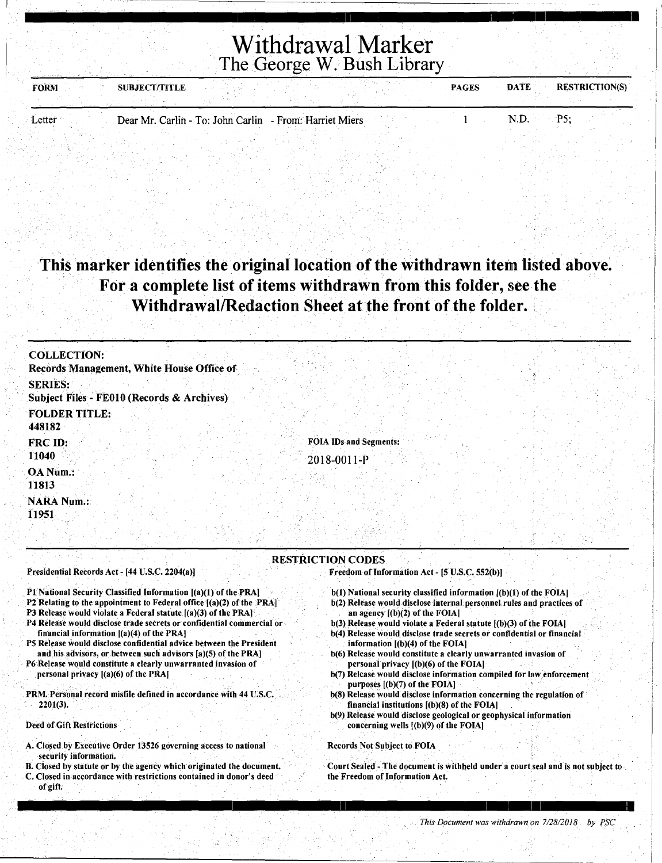| <b>FORM</b>   | <b>SUBJECT/TITLE</b> |                                                         | <b>PAGES</b> | <b>RESTRICTION(S)</b><br><b>DATE</b> |
|---------------|----------------------|---------------------------------------------------------|--------------|--------------------------------------|
|               |                      |                                                         |              |                                      |
| <b>Letter</b> |                      | Dear Mr. Carlin - To: John Carlin - From: Harriet Miers |              | ۰D۲<br>N.D.                          |

. . This marker identifies the original location of the withdrawn item listed above. For a complete list of items withdrawn from this folder, seethe Withdrawal/Redaction Sheet at the front of the folder.

| <b>COLLECTION:</b><br>Records Management, White House Office of |  |
|-----------------------------------------------------------------|--|
| <b>SERIES:</b><br>Subject Files - FE010 (Records & Archives)    |  |
| <b>FOLDER TITLE:</b><br>448182                                  |  |
| FOIA IDs and Segments:<br>FRC ID:<br>11040<br>2018-0011-P       |  |
| OA Num.:<br>11813                                               |  |
| <b>NARA Num.:</b><br>11951                                      |  |

#### Presidential Records Act - [44 U.S.C. 2204(a)]

- P1 National Security Classified Information [(a)(1) of the PRA]
- P2 Relating to the appointment to Federal office [(a)(2) of the PRA)
- P3 Release would violate a Federal statute [(a)(3) of the PRA]
- P4 Release would disdose trade secrets or confidential commercial or financial information [(a)(4) of the PRA]
- 5 Release would disclose confidential advice between the President and his advisors, or between such advisors [a)(5) of the PRA]
- P6 Release would constitute a clearly unwarranted invasion of personal privacy [(a)(6) of the PRA]
- PRM. Personal record misfile defined in accordance with 44 U.S.C. 2201(3).

Deed of Gift Restrictions

- A. Closed by Executive Order 13526 governing access to national security information.
- B. Closed by statute or by the agency which originated the document. C. Closed in accordance with restrictions contained in donor's deed of gift;

RESTRICTION CODES

Freedom of Information Act - [5 U.S.C. 552(b)]

- b(l) National security classified information [(b)(l) of the FOIA] b(2) Release would disclose internal personnel rules and practices of
- an agency [(b)(2) of the FOIA] b(3) Release would violate a Federal statute  $[(b)(3)$  of the FOIA]
- b(4) Release would disclose trade secrets or confidential or financial information [(b)(4) of the FOIA]
- b(6) Release would constitute a clearly unwarranted invasion of personal privacy [(b)(6) of the FOIA]
- b(7) Release would disclose information compiled for law.enforcement purposes [(b)(7) of the FOIA]
- b(8) Release would. disclose information concerning the regulation of. fimmcial institutions [(b)(8) of the FOIA]
- b(9) Release would disclose geological or geophysical information concerning wells [(b)(9) of the FOIA]

I 11 I : I i

#### Records Not Subject to FOIA

Court Sealed -The document is withheld under· a court seal and is not subject to the Freedom of Information Act.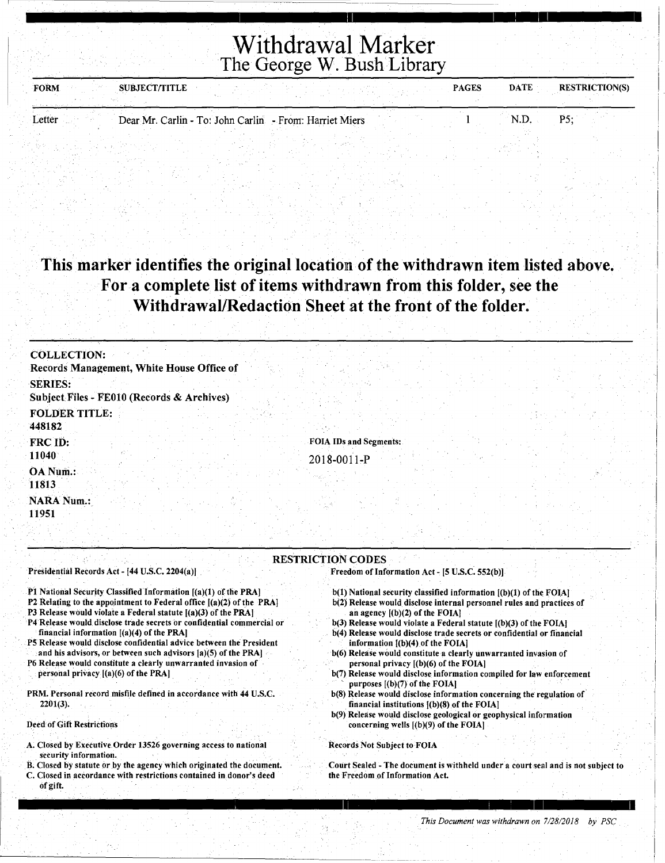i <u>ma je na svoje starije i kao pri se na svoje s prostavljeno predsedno kao predsedno s</u>

| <b>FORM</b><br>and the control through the company of the control of the control of the | <b>SUBJECT/TITLE</b> |                                                         | <b>PAGES</b> | <b>DATE</b> | <b>RESTRICTION(S)</b> |
|-----------------------------------------------------------------------------------------|----------------------|---------------------------------------------------------|--------------|-------------|-----------------------|
| Letter                                                                                  |                      | Dear Mr. Carlin - To: John Carlin - From: Harriet Miers |              |             | DК                    |

### This marker identifies the original location of the withdrawn item listed above. For a complete list of items withdrawn from this folder, see the Withdrawal/Redaction Sheet at the front of the folder.

| <b>COLLECTION:</b>                                                                                                                        |                                                                                                                                               |
|-------------------------------------------------------------------------------------------------------------------------------------------|-----------------------------------------------------------------------------------------------------------------------------------------------|
| Records Management, White House Office of                                                                                                 |                                                                                                                                               |
| <b>SERIES:</b>                                                                                                                            |                                                                                                                                               |
| Subject Files - FE010 (Records & Archives)                                                                                                |                                                                                                                                               |
| <b>FOLDER TITLE:</b>                                                                                                                      |                                                                                                                                               |
| 448182                                                                                                                                    |                                                                                                                                               |
| FRC ID:                                                                                                                                   | <b>FOIA IDs and Segments:</b>                                                                                                                 |
| 11040                                                                                                                                     | 2018-0011-P                                                                                                                                   |
| OA Num.:                                                                                                                                  |                                                                                                                                               |
| 11813                                                                                                                                     |                                                                                                                                               |
| <b>NARA Num.:</b>                                                                                                                         |                                                                                                                                               |
| 11951                                                                                                                                     |                                                                                                                                               |
|                                                                                                                                           |                                                                                                                                               |
|                                                                                                                                           |                                                                                                                                               |
|                                                                                                                                           | <b>RESTRICTION CODES</b>                                                                                                                      |
| Presidential Records Act - [44 U.S.C. 2204(a)]                                                                                            | Freedom of Information Act - [5 U.S.C. 552(b)].                                                                                               |
|                                                                                                                                           |                                                                                                                                               |
| P1 National Security Classified Information [(a)(1) of the PRA]<br>P2 Relating to the appointment to Federal office $[(a)(2)$ of the PRAI | b(1) National security classified information ((b)(1) of the FOIA]<br>b(2) Release would disclose internal personnel rules and practices of   |
| P3 Release would violate a Federal statute [(a)(3) of the PRA]                                                                            | an agency $[(b)(2)$ of the FOIA]                                                                                                              |
| P4 Release would disclose trade secrets or confidential commercial or<br>financial information $[(a)(4)$ of the PRA]                      | $b(3)$ Release would violate a Federal statute $(6)(3)$ of the FOIA<br>b(4) Release would disclose trade secrets or confidential or financial |
| P5 Release would disclose confidential advice between the President                                                                       | information [(b)(4) of the FOIA]                                                                                                              |
| and his advisors, or between such advisors [a](5) of the PRA]                                                                             | b(6) Release would constitute a clearly unwarranted invasion of                                                                               |
| P6 Release would constitute a clearly unwarranted invasion of<br>personal privacy $[(a)(6)$ of the PRA]                                   | personal privacy $[(b)(6)$ of the FOIA]<br>b(7) Release would disclose information compiled for law enforcement                               |
|                                                                                                                                           | purposes $[(b)(7)$ of the FOIA]                                                                                                               |
| PRM. Personal record misfile defined in accordance with 44 U.S.C.<br>$2201(3)$ .                                                          | b(8) Release would disclose information concerning the regulation of<br>financial institutions $(6)(8)$ of the FOIA]                          |
|                                                                                                                                           | b(9) Release would disclose geological or geophysical information                                                                             |
| Deed of Gift Restrictions                                                                                                                 | concerning wells $[(b)(9)$ of the FOIA]                                                                                                       |
| A. Closed by Executive Order 13526 governing access to national                                                                           | <b>Records Not Subject to FOIA</b>                                                                                                            |
| security information.                                                                                                                     |                                                                                                                                               |
| パイ おきにね しょうきょうしょくほう<br>$\sim$                                                                                                             |                                                                                                                                               |

B. Closed by statute or by the agency which originated the document. C. Closed in accordance with restrictions contained in. donor's deed of gift.

Court Sealed - The document is withheld urnder a court seal and is not subject to the Freedom of Information Act.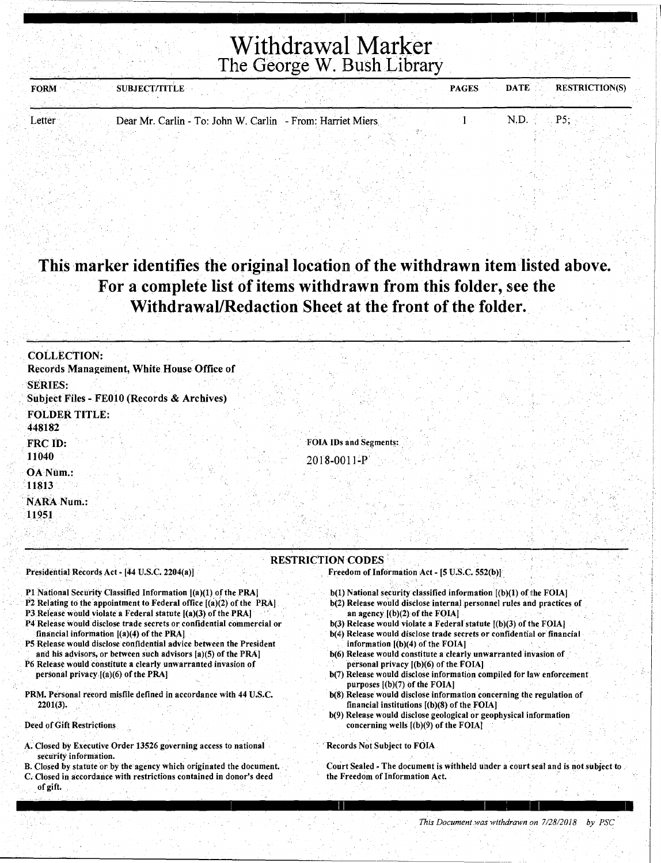| <b>FORM</b> | <b>SUBJECT/TITLE</b> |                                                            | <b>PAGES</b> | <b>RESTRICTION(S)</b><br>DATE : |
|-------------|----------------------|------------------------------------------------------------|--------------|---------------------------------|
|             |                      |                                                            |              |                                 |
| Letter      |                      | Dear Mr. Carlin - To: John W. Carlin - From: Harriet Miers |              | Dς                              |

#### This marker identifies the original location of the withdrawn item listed above. For a complete list of items withdrawn from this folder, see the Withdrawal/Redaction Sheet at the front of the folder.

| <b>COLLECTION:</b>                                                                                                                                                                                                                                                                                                                 |                                                                                                                                                                                                                                                                                                                                       |
|------------------------------------------------------------------------------------------------------------------------------------------------------------------------------------------------------------------------------------------------------------------------------------------------------------------------------------|---------------------------------------------------------------------------------------------------------------------------------------------------------------------------------------------------------------------------------------------------------------------------------------------------------------------------------------|
| Records Management, White House Office of<br><b>SERIES:</b><br>Subject Files - FE010 (Records & Archives)                                                                                                                                                                                                                          |                                                                                                                                                                                                                                                                                                                                       |
| <b>FOLDER TITLE:</b><br>448182                                                                                                                                                                                                                                                                                                     |                                                                                                                                                                                                                                                                                                                                       |
| <b>FRC ID:</b>                                                                                                                                                                                                                                                                                                                     | FOIA IDs and Segments:                                                                                                                                                                                                                                                                                                                |
| 11040                                                                                                                                                                                                                                                                                                                              | 2018-0011-P                                                                                                                                                                                                                                                                                                                           |
| OA Num.:                                                                                                                                                                                                                                                                                                                           |                                                                                                                                                                                                                                                                                                                                       |
| 11813                                                                                                                                                                                                                                                                                                                              |                                                                                                                                                                                                                                                                                                                                       |
| <b>NARA Num.:</b>                                                                                                                                                                                                                                                                                                                  |                                                                                                                                                                                                                                                                                                                                       |
| 11951                                                                                                                                                                                                                                                                                                                              |                                                                                                                                                                                                                                                                                                                                       |
|                                                                                                                                                                                                                                                                                                                                    |                                                                                                                                                                                                                                                                                                                                       |
| Presidential Records Act - [44 U.S.C. 2204(a)]                                                                                                                                                                                                                                                                                     | <b>RESTRICTION CODES</b><br><b>Freedom of Information Act - [5 U.S.C. 552(b)]</b>                                                                                                                                                                                                                                                     |
| P1 National Security Classified Information ((a)(1) of the PRA]<br>P2 Relating to the appointment to Federal office [(a)(2) of the PRA]<br>P3 Release would violate a Federal statute [(a)(3) of the PRA]<br>P4 Release would disclose trade secrets or confidential commercial or<br>financial information $[(a)(4)$ of the PRA]. | $b(1)$ National security classified information $[(b)(1)$ of the FOIA]<br>b(2) Release would disclose internal personnel rules and practices of<br>an agency $[(b)(2)$ of the FOIA]<br>$b(3)$ Release would violate a Federal statute $(6)(3)$ of the FOIA]<br>b(4) Release would disclose trade secrets or confidential or financial |
| P5 Release would disclose confidential advice between the President<br>and his advisors, or between such advisors [a)(5) of the PRA]                                                                                                                                                                                               | information $[(b)(4)$ of the FOIA]<br>b(6) Release would constitute a clearly unwarranted invasion of                                                                                                                                                                                                                                 |
| P6 Release would constitute a clearly unwarranted invasion of                                                                                                                                                                                                                                                                      | personal privacy $(1)(6)$ of the FOIA.                                                                                                                                                                                                                                                                                                |
| personal privacy ((a)(6) of the PRA]                                                                                                                                                                                                                                                                                               | b(7) Release would disclose information compiled for law enforcement<br>purposes $[(b)(7)$ of the FOIA]                                                                                                                                                                                                                               |
| PRM. Personal record misfile defined in accordance with 44 U.S.C.<br>$2201(3)$ .                                                                                                                                                                                                                                                   | b(8) Release would disclose information concerning the regulation of<br>financial institutions $(6)(8)$ of the FOIA]                                                                                                                                                                                                                  |
| <b>Deed of Gift Restrictions</b>                                                                                                                                                                                                                                                                                                   | b(9) Release would disclose geological or geophysical information<br>concerning wells [(b)(9) of the FOIA]                                                                                                                                                                                                                            |
| A. Closed by Executive Order 13526 governing access to national<br>security information.                                                                                                                                                                                                                                           | Records Not Subject to FOIA                                                                                                                                                                                                                                                                                                           |

B. Closed by statute or by the agency which originated the document. C. Closed in accordance with restrictions contained in donor's deed

. of gift.

Court Sealed - The document is withheld under a court seal and is not subject to the Freedom of Information Act.

: 11 I : I I

This Document was withdrawn on  $7/28/2018$  by PSC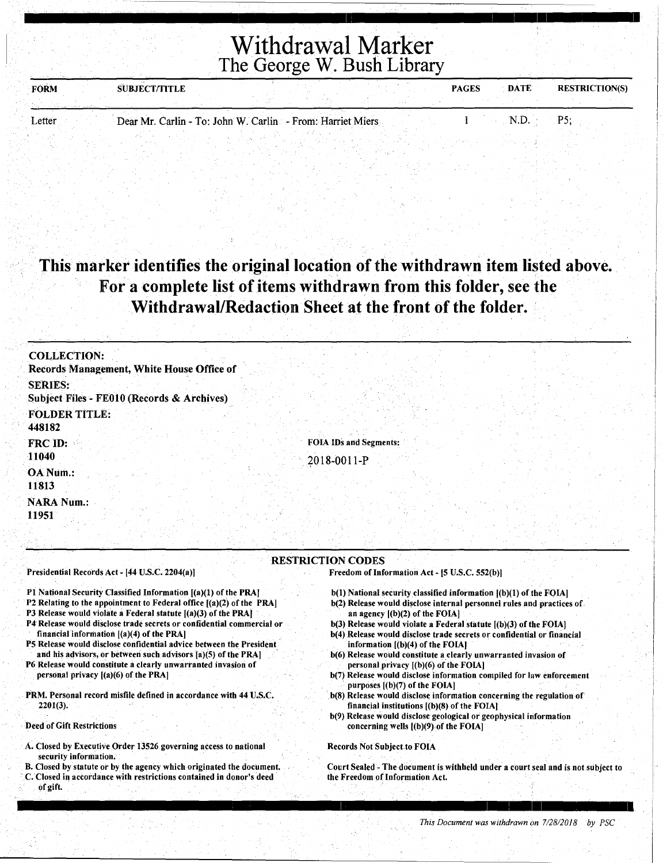| <b>FORM</b> | <b>SUBJECT/TITLE</b> |  |                                                            | <b>PAGES</b> | <b>DATE</b> | <b>RESTRICTION(S)</b> |
|-------------|----------------------|--|------------------------------------------------------------|--------------|-------------|-----------------------|
|             |                      |  |                                                            |              |             |                       |
| Letter      |                      |  | Dear Mr. Carlin - To: John W. Carlin - From: Harriet Miers |              | N.D.        | P٢                    |

#### This marker identifies the original location of the withdrawn item listed above. For a complete list of items withdrawn from this folder, see the Withdrawal/Redaction Sheet at the front of the folder.

| <b>COLLECTION:</b><br>Records Management, White House Office of    |                                                                            |
|--------------------------------------------------------------------|----------------------------------------------------------------------------|
| <b>SERIES:</b><br>Subject Files - FE010 (Records & Archives)       |                                                                            |
| <b>FOLDER TITLE:</b><br>448182                                     |                                                                            |
| FRC ID:<br>11040                                                   | <b>FOIA IDs and Segments:</b><br>2018-0011-P                               |
| OA Num.:<br>11813                                                  |                                                                            |
| <b>NARA Num.:</b><br>11951                                         |                                                                            |
| Presidential Records Act - [44 U.S.C. 2204(a)]                     | <b>RESTRICTION CODES</b><br>Freedom of Information Act - [5 U.S.C. 552(b)] |
| The Massical Consister Claudines To Consistent (CA)(A) and a TIMAT | <b>LOVELY CROSS METROPOLIC ALGORITHM</b>                                   |

- Pl National Security Classified Information [(a)(l) of the PRAJ
- P2 Relating to the appointment to Federal office [(a)(2) of the PRA]
- P3 Release would violate a Federal statute [(a)(3) of the PRA] P4 Release would disclose trade secrets or confidential commercial or
- financial information  $[(a)(4)$  of the PRA] PS Release would disclose confidential advice between the President and his advisors, or between such advisors [a)(S) of the PRA]
- P6 Release would constitute a clearly unwarranted invasion of personal privacy [(a)(6) of the PRA)
- PRM. Personal record misfile defined in accordance with 44 U.S.C. 2201(3).

Deed of Gift Restrictions

- A. Closed by Executive Order 13526 governing access to national security information.
- B. Closed by statute or by the agency which originated the document. C. Closed in accordance with restrictions contained in donor's deed
- of gift.
- b(l) National security classified information [(b)(l) of the FOIA]
- b(2) Release would disclose internal personnel rules and practices of. an agency [(b)(2) of the FOIA]
- b(3) Release would violate a Federal statute [(b)(3) of the FOIA]
- b(4) Release would disclose trade secrets or confidential or financial information [(b)(4) of the FOIA]
- b(6) Release would constitute a clearly unwarranted invasion of personal privacy [(b)(6) of the FOIA]
- b(7) Release would disclose information compiled for law enforcement purposes  $[(b)(7)$  of the FOIA]
- b(8) Release would disclose information concerning the regulation of financial institutions [(b)(8) of the FOIA)
- b(9) Release would disclose geological or geophysical information concerning wells [(b)(9) of the FOIA]

Records Not Subject. to FOIA

Court Sealed - The document is withheld under a court seal and is not subject to the Freedom of Information Act.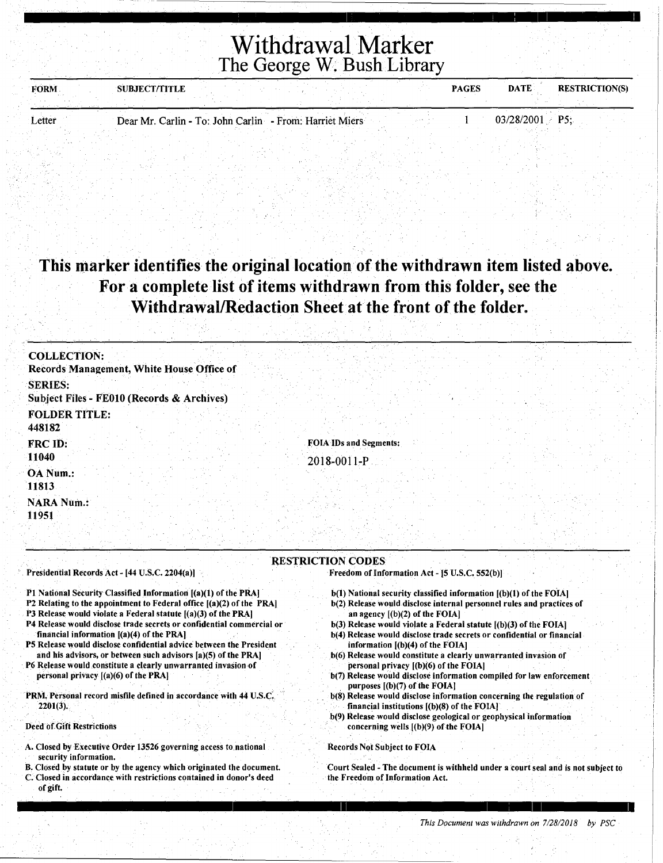| <b>FORM</b> | <b>SUBJECT/TITLE</b> |                                                         | <b>PAGES</b> | <b>DATE</b>      | <b>RESTRICTION(S)</b> |
|-------------|----------------------|---------------------------------------------------------|--------------|------------------|-----------------------|
|             |                      |                                                         |              |                  |                       |
| Letter      |                      | Dear Mr. Carlin - To: John Carlin - From: Harriet Miers |              | $03/28/2001$ P5: |                       |

### This marker identifies the original location of the withdrawn item listed above. For a complete list of items withdrawn from this folder, see the Withdrawal/Redaction Sheet at the front of the folder.

| <b>COLLECTION:</b><br>Records Management, White House Office of |                                              |
|-----------------------------------------------------------------|----------------------------------------------|
| <b>SERIES:</b><br>Subject Files - FE010 (Records & Archives)    |                                              |
| <b>FOLDER TITLE:</b><br>448182                                  |                                              |
| FRC ID:<br>11040                                                | <b>FOIA IDs and Segments:</b><br>2018-0011-P |
| OA Num.:<br>11813                                               |                                              |
| <b>NARA Num.:</b><br>11951                                      |                                              |

#### RESTRICTION CODES

Presidential Records Act - [44 U.S.C. 2204(a)]

- P1 National Security Classified Information [(a)(1) of the PRA]
- P2 Relating to the appointment to Federal office [(a)(2) of the PRA]
- P3 Release would violate a Federal statute [(a)(3) of the PRA]
- P4 Release would disclose trade secrets or confidential commercial or financial information [(a)(4) of the PRA)
- PS Release would disclose confidential advice between the President and his advisors, or between such advisors [a)(S) of the PRA)
- P6 Release would constitute a clearly unwarranted invasion of personal privacy [(a)(6) of the PRA)
- PRM. Personal record misfile defined in accordance with 44 U.S.C. 2201(3).

#### Deed of Gift Restrictions

- A. Closed by Executive Order 13526 governing access to.national security information.
- B. Closed by statute or by the agency which originated the document. C. Closed in accordance with restrictions contained in donor's deed of gift.
- Freedom of Information Act [5 U.S.C. 552(b))
- b(l) National security classified information [(b)(l) of the FOIA]
- b(2) Release would disclose internal personnel rules and practices of an agency [(b)(2) of the FOIA]
- b(3) Release would violate a Federal statute [(b)(3) of the FOIA]
- b(4) Release would disclose trade secrets or confidential or financial information [(b)(4) of the FOIA]
- b(6) Release would constitute a clearly unwarranted invasion of personal privacy [(b)(6) of the FOIA]
- b(7) Release would disclose information compiled for law enforcement purposes [(b)(7) of the FOIA]
- b(8) Release would disclose information concerning the regulation of financial institutions [(b)(8) of the FOIA]
- b(9) Release would disclose geological or geophysical information concerning wells [(b)(9) of the FOIA]

I 11 I I I I

#### Records Not Subject to FOIA

Court Sealed - The document is withheld under a court seal and is not subject to the Freedom of Information Act.